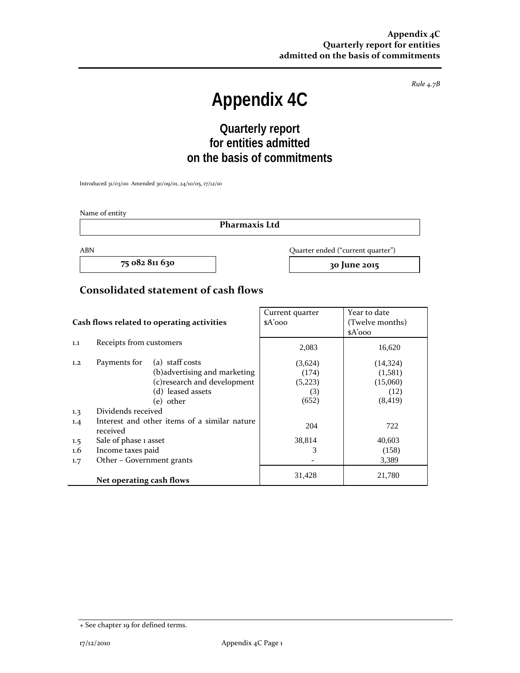*Rule 4.7B*

# **Appendix 4C**

# **Quarterly report for entities admitted on the basis of commitments**

Introduced 31/03/00 Amended 30/09/01, 24/10/05, 17/12/10

Name of entity

**Pharmaxis Ltd**

**75 082 811 630 30 June 2015**

ABN Quarter ended ("current quarter")

#### **Consolidated statement of cash flows**

|                                            |                                                          |                               | Current quarter | Year to date    |  |
|--------------------------------------------|----------------------------------------------------------|-------------------------------|-----------------|-----------------|--|
| Cash flows related to operating activities |                                                          |                               | $A'$ ooo        | (Twelve months) |  |
|                                            |                                                          |                               |                 | $A'$ ooo        |  |
| 1.1                                        | Receipts from customers                                  |                               | 2,083           | 16,620          |  |
| 1,2                                        | Payments for                                             | (a) staff costs               | (3,624)         | (14, 324)       |  |
|                                            |                                                          | (b) advertising and marketing | (174)           | (1,581)         |  |
|                                            |                                                          | (c) research and development  | (5,223)         | (15,060)        |  |
|                                            |                                                          | (d) leased assets             | (3)             | (12)            |  |
|                                            |                                                          | (e) other                     | (652)           | (8, 419)        |  |
| 1.3                                        | Dividends received                                       |                               |                 |                 |  |
| 1.4                                        | Interest and other items of a similar nature<br>received |                               | 204             | 722             |  |
| 1.5                                        | Sale of phase 1 asset                                    |                               | 38,814          | 40,603          |  |
| 1.6                                        | Income taxes paid                                        |                               | 3               | (158)           |  |
| 1.7                                        | Other – Government grants                                |                               |                 | 3,389           |  |
|                                            | Net operating cash flows                                 |                               | 31,428          | 21,780          |  |

<sup>+</sup> See chapter 19 for defined terms.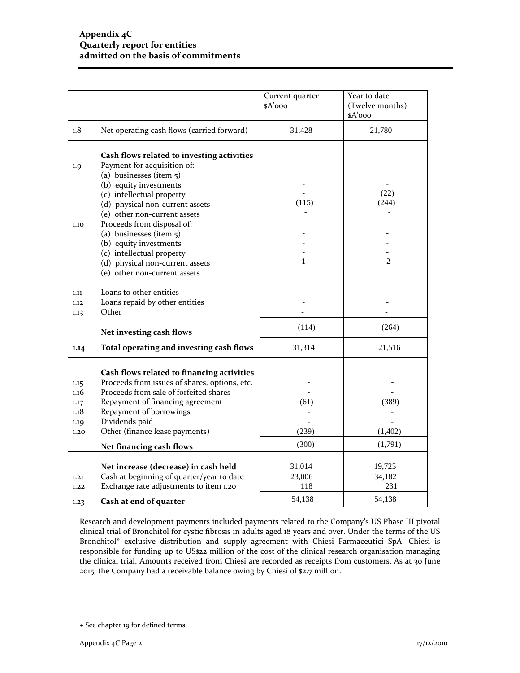|              |                                                                           | Current quarter<br>\$A'ooo | Year to date<br>(Twelve months)<br>\$A'ooo |
|--------------|---------------------------------------------------------------------------|----------------------------|--------------------------------------------|
| 1.8          | Net operating cash flows (carried forward)                                | 31,428                     | 21,780                                     |
| 1.9          | Cash flows related to investing activities<br>Payment for acquisition of: |                            |                                            |
|              | (a) businesses (item $5$ )                                                |                            |                                            |
|              | (b) equity investments<br>(c) intellectual property                       |                            | (22)                                       |
|              | (d) physical non-current assets                                           | (115)                      | (244)                                      |
|              | (e) other non-current assets                                              |                            |                                            |
| 1.10         | Proceeds from disposal of:                                                |                            |                                            |
|              | (a) businesses (item 5)                                                   |                            |                                            |
|              | (b) equity investments<br>(c) intellectual property                       |                            |                                            |
|              | (d) physical non-current assets                                           | 1                          | $\overline{2}$                             |
|              | (e) other non-current assets                                              |                            |                                            |
| 1.11         | Loans to other entities                                                   |                            |                                            |
| 1.12         | Loans repaid by other entities                                            |                            |                                            |
| 1.13         | Other                                                                     |                            |                                            |
|              | Net investing cash flows                                                  | (114)                      | (264)                                      |
| 1.14         | Total operating and investing cash flows                                  | 31,314                     | 21,516                                     |
|              | Cash flows related to financing activities                                |                            |                                            |
| 1.15         | Proceeds from issues of shares, options, etc.                             |                            |                                            |
| 1.16         | Proceeds from sale of forfeited shares                                    |                            |                                            |
| 1.17         | Repayment of financing agreement                                          | (61)                       | (389)                                      |
| 1.18<br>1.19 | Repayment of borrowings<br>Dividends paid                                 |                            |                                            |
| 1.20         | Other (finance lease payments)                                            | (239)                      | (1,402)                                    |
|              | Net financing cash flows                                                  | (300)                      | (1,791)                                    |
|              |                                                                           |                            |                                            |
|              | Net increase (decrease) in cash held                                      | 31,014                     | 19,725                                     |
| 1.21         | Cash at beginning of quarter/year to date                                 | 23,006                     | 34,182                                     |
| 1.22         | Exchange rate adjustments to item 1.20                                    | 118                        | 231                                        |
| 1.23         | Cash at end of quarter                                                    | 54,138                     | 54,138                                     |

Research and development payments included payments related to the Company's US Phase III pivotal clinical trial of Bronchitol for cystic fibrosis in adults aged 18 years and over. Under the terms of the US Bronchitol® exclusive distribution and supply agreement with Chiesi Farmaceutici SpA, Chiesi is responsible for funding up to US\$22 million of the cost of the clinical research organisation managing the clinical trial. Amounts received from Chiesi are recorded as receipts from customers. As at 30 June 2015, the Company had a receivable balance owing by Chiesi of \$2.7 million.

<sup>+</sup> See chapter 19 for defined terms.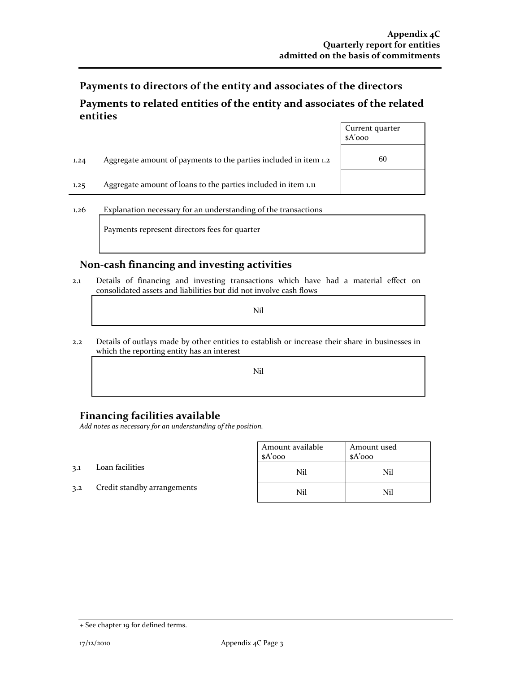**Payments to directors of the entity and associates of the directors**

# **Payments to related entities of the entity and associates of the related entities**

|      |                                                                  | Current quarter<br>$A'$ ooo |
|------|------------------------------------------------------------------|-----------------------------|
| 1,24 | Aggregate amount of payments to the parties included in item 1.2 | 60                          |
| 1.25 | Aggregate amount of loans to the parties included in item 1.11   |                             |
|      |                                                                  |                             |

1.26 Explanation necessary for an understanding of the transactions

Payments represent directors fees for quarter

## **Non‐cash financing and investing activities**

2.1 Details of financing and investing transactions which have had a material effect on consolidated assets and liabilities but did not involve cash flows

Nil

2.2 Details of outlays made by other entities to establish or increase their share in businesses in which the reporting entity has an interest

Nil

# **Financing facilities available**

*Add notes as necessary for an understanding of the position.*

|     |                             | Amount available<br>$A'$ 000 | Amount used<br>$A'$ 000 |
|-----|-----------------------------|------------------------------|-------------------------|
| 3.1 | Loan facilities             | Nil                          | Nil                     |
| 3.2 | Credit standby arrangements | Nil                          | Nil                     |

 $\mathcal{L}^{\text{max}}_{\text{max}}$ 

 $\mathcal{L}^{\text{max}}_{\text{max}}$ 

<sup>+</sup> See chapter 19 for defined terms.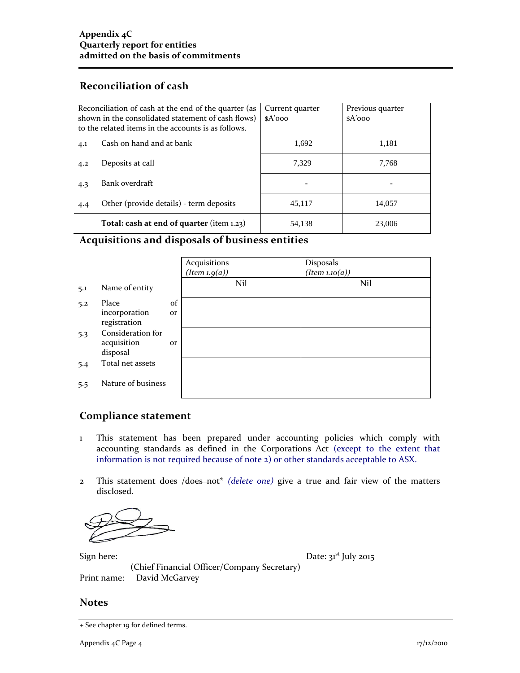# **Reconciliation of cash**

| Reconciliation of cash at the end of the quarter (as<br>shown in the consolidated statement of cash flows)<br>to the related items in the accounts is as follows. |                                              | Current quarter<br>$A'$ 000 | Previous quarter<br>$A'$ 000 |
|-------------------------------------------------------------------------------------------------------------------------------------------------------------------|----------------------------------------------|-----------------------------|------------------------------|
| 4.1                                                                                                                                                               | Cash on hand and at bank                     | 1,692                       | 1,181                        |
| 4.2                                                                                                                                                               | Deposits at call                             | 7.329                       | 7,768                        |
| 4.3                                                                                                                                                               | Bank overdraft                               | $\overline{\phantom{0}}$    |                              |
| 4.4                                                                                                                                                               | Other (provide details) - term deposits      | 45,117                      | 14,057                       |
|                                                                                                                                                                   | Total: cash at end of quarter (item $1.23$ ) | 54,138                      | 23,006                       |

# **Acquisitions and disposals of business entities**

|     |                                                              |                 | Acquisitions<br>(Item 1.9(a)) | Disposals<br>(Item 1.10(a)) |
|-----|--------------------------------------------------------------|-----------------|-------------------------------|-----------------------------|
| 5.1 | Name of entity                                               |                 | Nil                           | Nil                         |
| 5.2 | Place<br>incorporation                                       | of<br><b>Or</b> |                               |                             |
| 5.3 | registration<br>Consideration for<br>acquisition<br>disposal | or              |                               |                             |
| 5.4 | Total net assets                                             |                 |                               |                             |
| 5.5 | Nature of business                                           |                 |                               |                             |

## **Compliance statement**

- 1 This statement has been prepared under accounting policies which comply with accounting standards as defined in the Corporations Act (except to the extent that information is not required because of note 2) or other standards acceptable to ASX.
- 2 This statement does /does not\* *(delete one)* give a true and fair view of the matters disclosed.

Sign here:  $\qquad \qquad$  Date:  $3^{st}$  July 2015 (Chief Financial Officer/Company Secretary) Print name: David McGarvey

#### **Notes**

<sup>+</sup> See chapter 19 for defined terms.